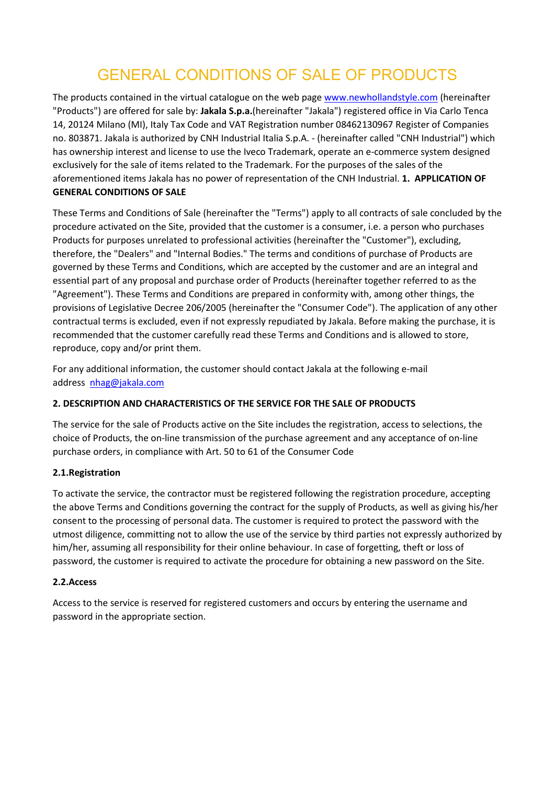# GENERAL CONDITIONS OF SALE OF PRODUCTS

The products contained in the virtual catalogue on the web page [www.newhollandstyle.com](http://www.newhollandstyle.com/da/) (hereinafter "Products") are offered for sale by: **Jakala S.p.a.**(hereinafter "Jakala") registered office in Via Carlo Tenca 14, 20124 Milano (MI), Italy Tax Code and VAT Registration number 08462130967 Register of Companies no. 803871. Jakala is authorized by CNH Industrial Italia S.p.A. - (hereinafter called "CNH Industrial") which has ownership interest and license to use the Iveco Trademark, operate an e-commerce system designed exclusively for the sale of items related to the Trademark. For the purposes of the sales of the aforementioned items Jakala has no power of representation of the CNH Industrial. **1. APPLICATION OF GENERAL CONDITIONS OF SALE**

These Terms and Conditions of Sale (hereinafter the "Terms") apply to all contracts of sale concluded by the procedure activated on the Site, provided that the customer is a consumer, i.e. a person who purchases Products for purposes unrelated to professional activities (hereinafter the "Customer"), excluding, therefore, the "Dealers" and "Internal Bodies." The terms and conditions of purchase of Products are governed by these Terms and Conditions, which are accepted by the customer and are an integral and essential part of any proposal and purchase order of Products (hereinafter together referred to as the "Agreement"). These Terms and Conditions are prepared in conformity with, among other things, the provisions of Legislative Decree 206/2005 (hereinafter the "Consumer Code"). The application of any other contractual terms is excluded, even if not expressly repudiated by Jakala. Before making the purchase, it is recommended that the customer carefully read these Terms and Conditions and is allowed to store, reproduce, copy and/or print them.

For any additional information, the customer should contact Jakala at the following e-mail address [nhag@jakala.com](mailto:nhag@serijakala.com)

# **2. DESCRIPTION AND CHARACTERISTICS OF THE SERVICE FOR THE SALE OF PRODUCTS**

The service for the sale of Products active on the Site includes the registration, access to selections, the choice of Products, the on-line transmission of the purchase agreement and any acceptance of on-line purchase orders, in compliance with Art. 50 to 61 of the Consumer Code

# **2.1.Registration**

To activate the service, the contractor must be registered following the registration procedure, accepting the above Terms and Conditions governing the contract for the supply of Products, as well as giving his/her consent to the processing of personal data. The customer is required to protect the password with the utmost diligence, committing not to allow the use of the service by third parties not expressly authorized by him/her, assuming all responsibility for their online behaviour. In case of forgetting, theft or loss of password, the customer is required to activate the procedure for obtaining a new password on the Site.

# **2.2.Access**

Access to the service is reserved for registered customers and occurs by entering the username and password in the appropriate section.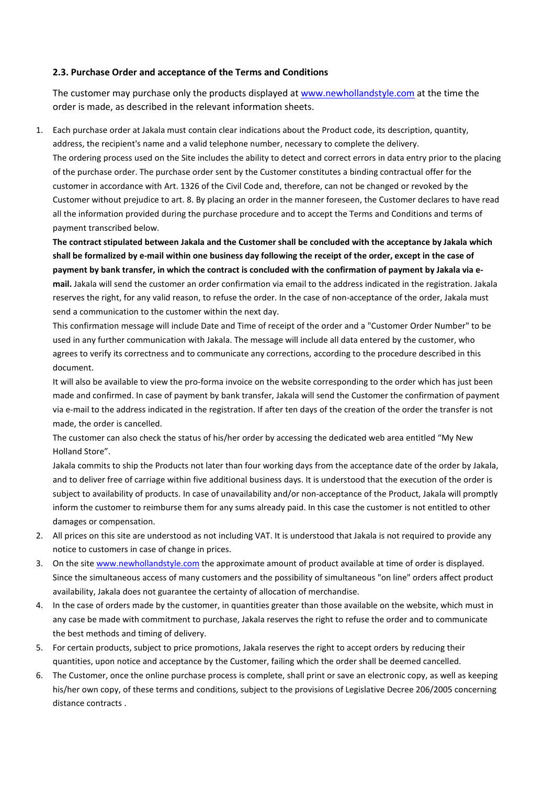#### **2.3. Purchase Order and acceptance of the Terms and Conditions**

The customer may purchase only the products displayed at [www.newhollandstyle.com](http://www.newhollandstyle.com/da/) at the time the order is made, as described in the relevant information sheets.

1. Each purchase order at Jakala must contain clear indications about the Product code, its description, quantity, address, the recipient's name and a valid telephone number, necessary to complete the delivery. The ordering process used on the Site includes the ability to detect and correct errors in data entry prior to the placing of the purchase order. The purchase order sent by the Customer constitutes a binding contractual offer for the customer in accordance with Art. 1326 of the Civil Code and, therefore, can not be changed or revoked by the Customer without prejudice to art. 8. By placing an order in the manner foreseen, the Customer declares to have read all the information provided during the purchase procedure and to accept the Terms and Conditions and terms of payment transcribed below.

**The contract stipulated between Jakala and the Customer shall be concluded with the acceptance by Jakala which shall be formalized by e-mail within one business day following the receipt of the order, except in the case of payment by bank transfer, in which the contract is concluded with the confirmation of payment by Jakala via email.** Jakala will send the customer an order confirmation via email to the address indicated in the registration. Jakala reserves the right, for any valid reason, to refuse the order. In the case of non-acceptance of the order, Jakala must send a communication to the customer within the next day.

This confirmation message will include Date and Time of receipt of the order and a "Customer Order Number" to be used in any further communication with Jakala. The message will include all data entered by the customer, who agrees to verify its correctness and to communicate any corrections, according to the procedure described in this document.

It will also be available to view the pro-forma invoice on the website corresponding to the order which has just been made and confirmed. In case of payment by bank transfer, Jakala will send the Customer the confirmation of payment via e-mail to the address indicated in the registration. If after ten days of the creation of the order the transfer is not made, the order is cancelled.

The customer can also check the status of his/her order by accessing the dedicated web area entitled "My New Holland Store".

Jakala commits to ship the Products not later than four working days from the acceptance date of the order by Jakala, and to deliver free of carriage within five additional business days. It is understood that the execution of the order is subject to availability of products. In case of unavailability and/or non-acceptance of the Product, Jakala will promptly inform the customer to reimburse them for any sums already paid. In this case the customer is not entitled to other damages or compensation.

- 2. All prices on this site are understood as not including VAT. It is understood that Jakala is not required to provide any notice to customers in case of change in prices.
- 3. On the site [www.newhollandstyle.com](http://www.newhollandstyle.com/da/) the approximate amount of product available at time of order is displayed. Since the simultaneous access of many customers and the possibility of simultaneous "on line" orders affect product availability, Jakala does not guarantee the certainty of allocation of merchandise.
- 4. In the case of orders made by the customer, in quantities greater than those available on the website, which must in any case be made with commitment to purchase, Jakala reserves the right to refuse the order and to communicate the best methods and timing of delivery.
- 5. For certain products, subject to price promotions, Jakala reserves the right to accept orders by reducing their quantities, upon notice and acceptance by the Customer, failing which the order shall be deemed cancelled.
- 6. The Customer, once the online purchase process is complete, shall print or save an electronic copy, as well as keeping his/her own copy, of these terms and conditions, subject to the provisions of Legislative Decree 206/2005 concerning distance contracts .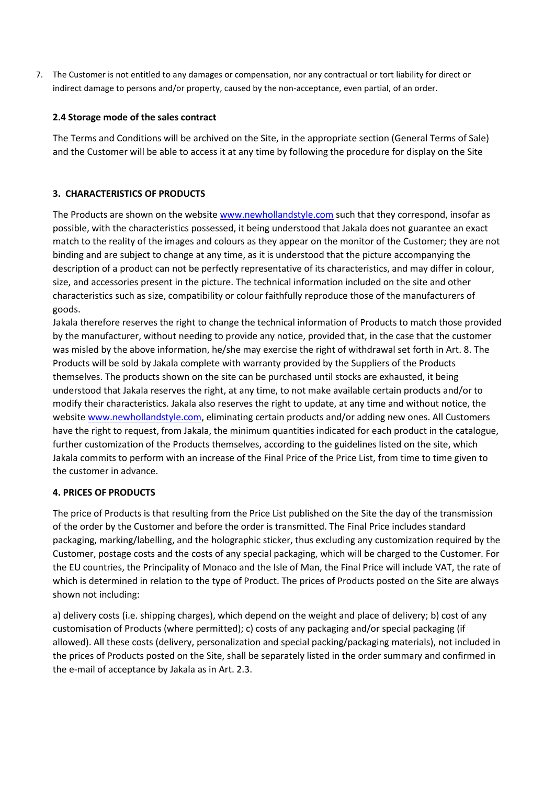7. The Customer is not entitled to any damages or compensation, nor any contractual or tort liability for direct or indirect damage to persons and/or property, caused by the non-acceptance, even partial, of an order.

# **2.4 Storage mode of the sales contract**

The Terms and Conditions will be archived on the Site, in the appropriate section (General Terms of Sale) and the Customer will be able to access it at any time by following the procedure for display on the Site

# **3. CHARACTERISTICS OF PRODUCTS**

The Products are shown on the website [www.newhollandstyle.com](http://www.newhollandstyle.com/da/) such that they correspond, insofar as possible, with the characteristics possessed, it being understood that Jakala does not guarantee an exact match to the reality of the images and colours as they appear on the monitor of the Customer; they are not binding and are subject to change at any time, as it is understood that the picture accompanying the description of a product can not be perfectly representative of its characteristics, and may differ in colour, size, and accessories present in the picture. The technical information included on the site and other characteristics such as size, compatibility or colour faithfully reproduce those of the manufacturers of goods.

Jakala therefore reserves the right to change the technical information of Products to match those provided by the manufacturer, without needing to provide any notice, provided that, in the case that the customer was misled by the above information, he/she may exercise the right of withdrawal set forth in Art. 8. The Products will be sold by Jakala complete with warranty provided by the Suppliers of the Products themselves. The products shown on the site can be purchased until stocks are exhausted, it being understood that Jakala reserves the right, at any time, to not make available certain products and/or to modify their characteristics. Jakala also reserves the right to update, at any time and without notice, the website [www.newhollandstyle.com,](http://www.newhollandstyle.com/da/) eliminating certain products and/or adding new ones. All Customers have the right to request, from Jakala, the minimum quantities indicated for each product in the catalogue, further customization of the Products themselves, according to the guidelines listed on the site, which Jakala commits to perform with an increase of the Final Price of the Price List, from time to time given to the customer in advance.

# **4. PRICES OF PRODUCTS**

The price of Products is that resulting from the Price List published on the Site the day of the transmission of the order by the Customer and before the order is transmitted. The Final Price includes standard packaging, marking/labelling, and the holographic sticker, thus excluding any customization required by the Customer, postage costs and the costs of any special packaging, which will be charged to the Customer. For the EU countries, the Principality of Monaco and the Isle of Man, the Final Price will include VAT, the rate of which is determined in relation to the type of Product. The prices of Products posted on the Site are always shown not including:

a) delivery costs (i.e. shipping charges), which depend on the weight and place of delivery; b) cost of any customisation of Products (where permitted); c) costs of any packaging and/or special packaging (if allowed). All these costs (delivery, personalization and special packing/packaging materials), not included in the prices of Products posted on the Site, shall be separately listed in the order summary and confirmed in the e-mail of acceptance by Jakala as in Art. 2.3.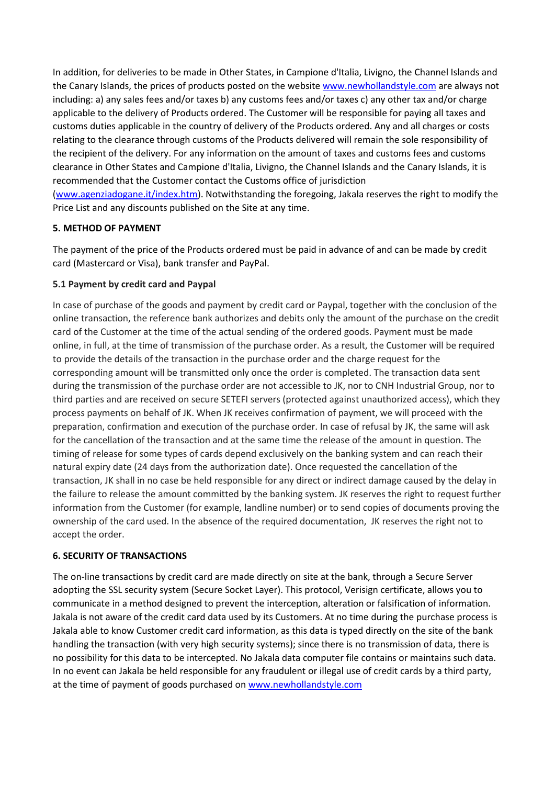In addition, for deliveries to be made in Other States, in Campione d'Italia, Livigno, the Channel Islands and the Canary Islands, the prices of products posted on the website [www.newhollandstyle.com](http://www.newhollandstyle.com/da/) are always not including: a) any sales fees and/or taxes b) any customs fees and/or taxes c) any other tax and/or charge applicable to the delivery of Products ordered. The Customer will be responsible for paying all taxes and customs duties applicable in the country of delivery of the Products ordered. Any and all charges or costs relating to the clearance through customs of the Products delivered will remain the sole responsibility of the recipient of the delivery. For any information on the amount of taxes and customs fees and customs clearance in Other States and Campione d'Italia, Livigno, the Channel Islands and the Canary Islands, it is recommended that the Customer contact the Customs office of jurisdiction

[\(www.agenziadogane.it/index.htm\)](http://www.newhollandstyle.com/web/www.agenziadogane.it/index.html). Notwithstanding the foregoing, Jakala reserves the right to modify the Price List and any discounts published on the Site at any time.

# **5. METHOD OF PAYMENT**

The payment of the price of the Products ordered must be paid in advance of and can be made by credit card (Mastercard or Visa), bank transfer and PayPal.

#### **5.1 Payment by credit card and Paypal**

In case of purchase of the goods and payment by credit card or Paypal, together with the conclusion of the online transaction, the reference bank authorizes and debits only the amount of the purchase on the credit card of the Customer at the time of the actual sending of the ordered goods. Payment must be made online, in full, at the time of transmission of the purchase order. As a result, the Customer will be required to provide the details of the transaction in the purchase order and the charge request for the corresponding amount will be transmitted only once the order is completed. The transaction data sent during the transmission of the purchase order are not accessible to JK, nor to CNH Industrial Group, nor to third parties and are received on secure SETEFI servers (protected against unauthorized access), which they process payments on behalf of JK. When JK receives confirmation of payment, we will proceed with the preparation, confirmation and execution of the purchase order. In case of refusal by JK, the same will ask for the cancellation of the transaction and at the same time the release of the amount in question. The timing of release for some types of cards depend exclusively on the banking system and can reach their natural expiry date (24 days from the authorization date). Once requested the cancellation of the transaction, JK shall in no case be held responsible for any direct or indirect damage caused by the delay in the failure to release the amount committed by the banking system. JK reserves the right to request further information from the Customer (for example, landline number) or to send copies of documents proving the ownership of the card used. In the absence of the required documentation, JK reserves the right not to accept the order.

#### **6. SECURITY OF TRANSACTIONS**

The on-line transactions by credit card are made directly on site at the bank, through a Secure Server adopting the SSL security system (Secure Socket Layer). This protocol, Verisign certificate, allows you to communicate in a method designed to prevent the interception, alteration or falsification of information. Jakala is not aware of the credit card data used by its Customers. At no time during the purchase process is Jakala able to know Customer credit card information, as this data is typed directly on the site of the bank handling the transaction (with very high security systems); since there is no transmission of data, there is no possibility for this data to be intercepted. No Jakala data computer file contains or maintains such data. In no event can Jakala be held responsible for any fraudulent or illegal use of credit cards by a third party, at the time of payment of goods purchased on [www.newhollandstyle.com](http://www.newhollandstyle.com/da/)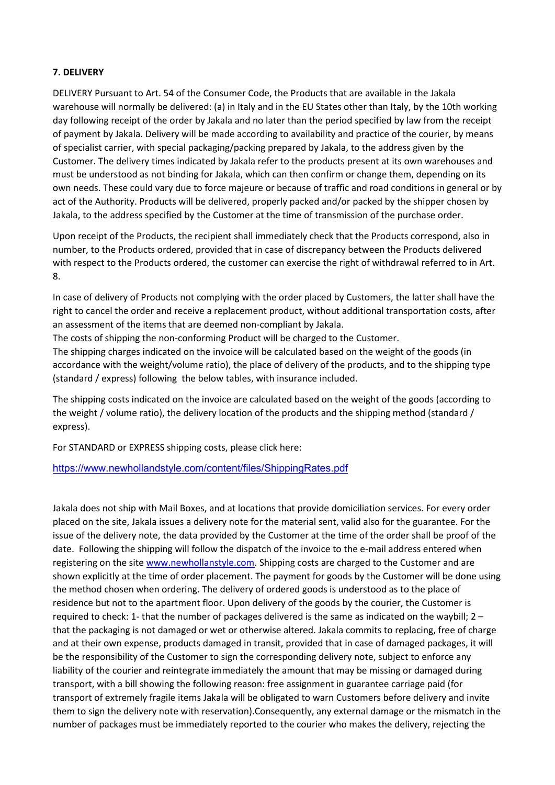#### **7. DELIVERY**

DELIVERY Pursuant to Art. 54 of the Consumer Code, the Products that are available in the Jakala warehouse will normally be delivered: (a) in Italy and in the EU States other than Italy, by the 10th working day following receipt of the order by Jakala and no later than the period specified by law from the receipt of payment by Jakala. Delivery will be made according to availability and practice of the courier, by means of specialist carrier, with special packaging/packing prepared by Jakala, to the address given by the Customer. The delivery times indicated by Jakala refer to the products present at its own warehouses and must be understood as not binding for Jakala, which can then confirm or change them, depending on its own needs. These could vary due to force majeure or because of traffic and road conditions in general or by act of the Authority. Products will be delivered, properly packed and/or packed by the shipper chosen by Jakala, to the address specified by the Customer at the time of transmission of the purchase order.

Upon receipt of the Products, the recipient shall immediately check that the Products correspond, also in number, to the Products ordered, provided that in case of discrepancy between the Products delivered with respect to the Products ordered, the customer can exercise the right of withdrawal referred to in Art. 8.

In case of delivery of Products not complying with the order placed by Customers, the latter shall have the right to cancel the order and receive a replacement product, without additional transportation costs, after an assessment of the items that are deemed non-compliant by Jakala.

The costs of shipping the non-conforming Product will be charged to the Customer.

The shipping charges indicated on the invoice will be calculated based on the weight of the goods (in accordance with the weight/volume ratio), the place of delivery of the products, and to the shipping type (standard / express) following the below tables, with insurance included.

The shipping costs indicated on the invoice are calculated based on the weight of the goods (according to the weight / volume ratio), the delivery location of the products and the shipping method (standard / express).

For STANDARD or EXPRESS shipping costs, please click here:

# <https://www.newhollandstyle.com/content/files/ShippingRates.pdf>

Jakala does not ship with Mail Boxes, and at locations that provide domiciliation services. For every order placed on the site, Jakala issues a delivery note for the material sent, valid also for the guarantee. For the issue of the delivery note, the data provided by the Customer at the time of the order shall be proof of the date. Following the shipping will follow the dispatch of the invoice to the e-mail address entered when registering on the site [www.newhollanstyle.com.](http://www.newhollandstyle.com/da/) Shipping costs are charged to the Customer and are shown explicitly at the time of order placement. The payment for goods by the Customer will be done using the method chosen when ordering. The delivery of ordered goods is understood as to the place of residence but not to the apartment floor. Upon delivery of the goods by the courier, the Customer is required to check: 1- that the number of packages delivered is the same as indicated on the waybill; 2 – that the packaging is not damaged or wet or otherwise altered. Jakala commits to replacing, free of charge and at their own expense, products damaged in transit, provided that in case of damaged packages, it will be the responsibility of the Customer to sign the corresponding delivery note, subject to enforce any liability of the courier and reintegrate immediately the amount that may be missing or damaged during transport, with a bill showing the following reason: free assignment in guarantee carriage paid (for transport of extremely fragile items Jakala will be obligated to warn Customers before delivery and invite them to sign the delivery note with reservation).Consequently, any external damage or the mismatch in the number of packages must be immediately reported to the courier who makes the delivery, rejecting the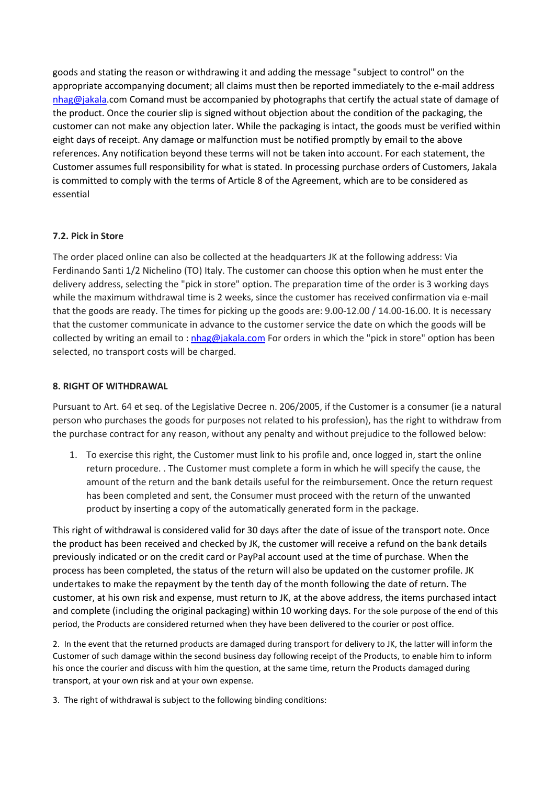goods and stating the reason or withdrawing it and adding the message "subject to control" on the appropriate accompanying document; all claims must then be reported immediately to the e-mail address [nhag@jakala.](mailto:nhag@serijakala.com)com Comand must be accompanied by photographs that certify the actual state of damage of the product. Once the courier slip is signed without objection about the condition of the packaging, the customer can not make any objection later. While the packaging is intact, the goods must be verified within eight days of receipt. Any damage or malfunction must be notified promptly by email to the above references. Any notification beyond these terms will not be taken into account. For each statement, the Customer assumes full responsibility for what is stated. In processing purchase orders of Customers, Jakala is committed to comply with the terms of Article 8 of the Agreement, which are to be considered as essential

#### **7.2. Pick in Store**

The order placed online can also be collected at the headquarters JK at the following address: Via Ferdinando Santi 1/2 Nichelino (TO) Italy. The customer can choose this option when he must enter the delivery address, selecting the "pick in store" option. The preparation time of the order is 3 working days while the maximum withdrawal time is 2 weeks, since the customer has received confirmation via e-mail that the goods are ready. The times for picking up the goods are: 9.00-12.00 / 14.00-16.00. It is necessary that the customer communicate in advance to the customer service the date on which the goods will be collected by writing an email to : nhag@jakala.com For orders in which the "pick in store" option has been selected, no transport costs will be charged.

#### **8. RIGHT OF WITHDRAWAL**

Pursuant to Art. 64 et seq. of the Legislative Decree n. 206/2005, if the Customer is a consumer (ie a natural person who purchases the goods for purposes not related to his profession), has the right to withdraw from the purchase contract for any reason, without any penalty and without prejudice to the followed below:

1. To exercise this right, the Customer must link to his profile and, once logged in, start the online return procedure. . The Customer must complete a form in which he will specify the cause, the amount of the return and the bank details useful for the reimbursement. Once the return request has been completed and sent, the Consumer must proceed with the return of the unwanted product by inserting a copy of the automatically generated form in the package.

This right of withdrawal is considered valid for 30 days after the date of issue of the transport note. Once the product has been received and checked by JK, the customer will receive a refund on the bank details previously indicated or on the credit card or PayPal account used at the time of purchase. When the process has been completed, the status of the return will also be updated on the customer profile. JK undertakes to make the repayment by the tenth day of the month following the date of return. The customer, at his own risk and expense, must return to JK, at the above address, the items purchased intact and complete (including the original packaging) within 10 working days. For the sole purpose of the end of this period, the Products are considered returned when they have been delivered to the courier or post office.

2. In the event that the returned products are damaged during transport for delivery to JK, the latter will inform the Customer of such damage within the second business day following receipt of the Products, to enable him to inform his once the courier and discuss with him the question, at the same time, return the Products damaged during transport, at your own risk and at your own expense.

3. The right of withdrawal is subject to the following binding conditions: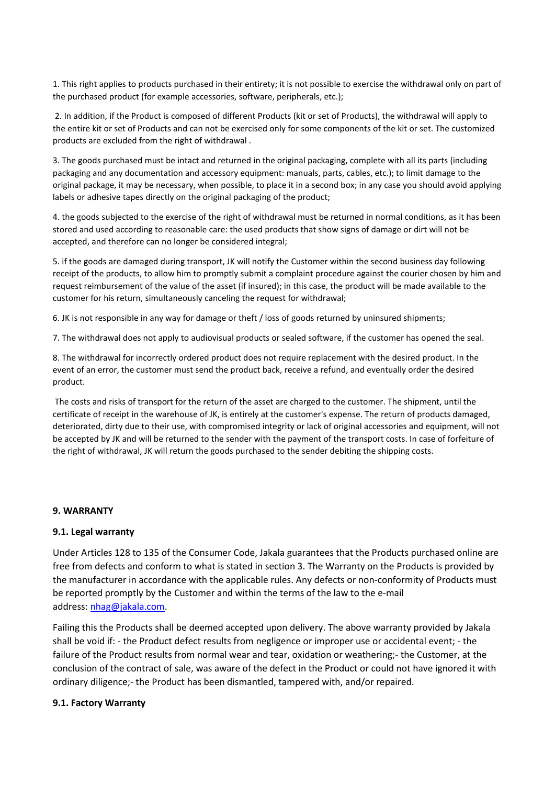1. This right applies to products purchased in their entirety; it is not possible to exercise the withdrawal only on part of the purchased product (for example accessories, software, peripherals, etc.);

2. In addition, if the Product is composed of different Products (kit or set of Products), the withdrawal will apply to the entire kit or set of Products and can not be exercised only for some components of the kit or set. The customized products are excluded from the right of withdrawal .

3. The goods purchased must be intact and returned in the original packaging, complete with all its parts (including packaging and any documentation and accessory equipment: manuals, parts, cables, etc.); to limit damage to the original package, it may be necessary, when possible, to place it in a second box; in any case you should avoid applying labels or adhesive tapes directly on the original packaging of the product;

4. the goods subjected to the exercise of the right of withdrawal must be returned in normal conditions, as it has been stored and used according to reasonable care: the used products that show signs of damage or dirt will not be accepted, and therefore can no longer be considered integral;

5. if the goods are damaged during transport, JK will notify the Customer within the second business day following receipt of the products, to allow him to promptly submit a complaint procedure against the courier chosen by him and request reimbursement of the value of the asset (if insured); in this case, the product will be made available to the customer for his return, simultaneously canceling the request for withdrawal;

6. JK is not responsible in any way for damage or theft / loss of goods returned by uninsured shipments;

7. The withdrawal does not apply to audiovisual products or sealed software, if the customer has opened the seal.

8. The withdrawal for incorrectly ordered product does not require replacement with the desired product. In the event of an error, the customer must send the product back, receive a refund, and eventually order the desired product.

The costs and risks of transport for the return of the asset are charged to the customer. The shipment, until the certificate of receipt in the warehouse of JK, is entirely at the customer's expense. The return of products damaged, deteriorated, dirty due to their use, with compromised integrity or lack of original accessories and equipment, will not be accepted by JK and will be returned to the sender with the payment of the transport costs. In case of forfeiture of the right of withdrawal, JK will return the goods purchased to the sender debiting the shipping costs.

#### **9. WARRANTY**

#### **9.1. Legal warranty**

Under Articles 128 to 135 of the Consumer Code, Jakala guarantees that the Products purchased online are free from defects and conform to what is stated in section 3. The Warranty on the Products is provided by the manufacturer in accordance with the applicable rules. Any defects or non-conformity of Products must be reported promptly by the Customer and within the terms of the law to the e-mail address: [nhag@jakala.com.](mailto:nhag@serijakala.com)

Failing this the Products shall be deemed accepted upon delivery. The above warranty provided by Jakala shall be void if: - the Product defect results from negligence or improper use or accidental event; - the failure of the Product results from normal wear and tear, oxidation or weathering;- the Customer, at the conclusion of the contract of sale, was aware of the defect in the Product or could not have ignored it with ordinary diligence;- the Product has been dismantled, tampered with, and/or repaired.

#### **9.1. Factory Warranty**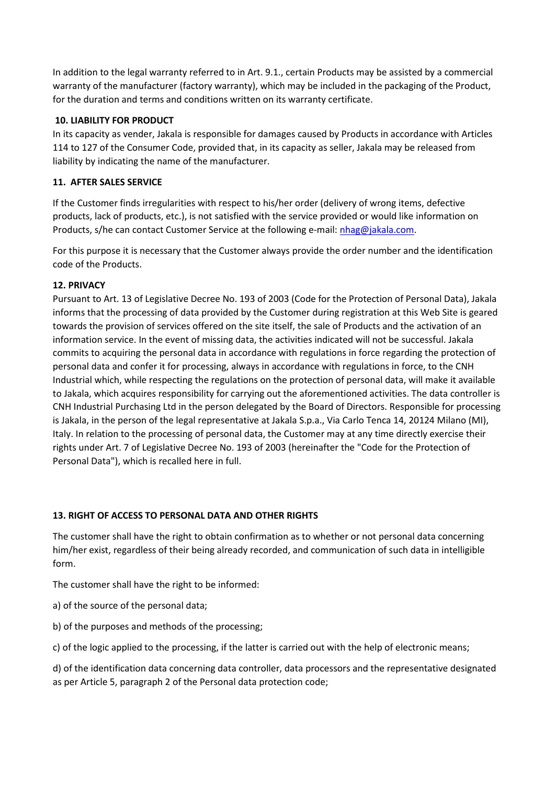In addition to the legal warranty referred to in Art. 9.1., certain Products may be assisted by a commercial warranty of the manufacturer (factory warranty), which may be included in the packaging of the Product, for the duration and terms and conditions written on its warranty certificate.

# **10. LIABILITY FOR PRODUCT**

In its capacity as vender, Jakala is responsible for damages caused by Products in accordance with Articles 114 to 127 of the Consumer Code, provided that, in its capacity as seller, Jakala may be released from liability by indicating the name of the manufacturer.

# **11. AFTER SALES SERVICE**

If the Customer finds irregularities with respect to his/her order (delivery of wrong items, defective products, lack of products, etc.), is not satisfied with the service provided or would like information on Products, s/he can contact Customer Service at the following e-mail: [nhag@jakala.com.](mailto:nhag@serijakala.com)

For this purpose it is necessary that the Customer always provide the order number and the identification code of the Products.

# **12. PRIVACY**

Pursuant to Art. 13 of Legislative Decree No. 193 of 2003 (Code for the Protection of Personal Data), Jakala informs that the processing of data provided by the Customer during registration at this Web Site is geared towards the provision of services offered on the site itself, the sale of Products and the activation of an information service. In the event of missing data, the activities indicated will not be successful. Jakala commits to acquiring the personal data in accordance with regulations in force regarding the protection of personal data and confer it for processing, always in accordance with regulations in force, to the CNH Industrial which, while respecting the regulations on the protection of personal data, will make it available to Jakala, which acquires responsibility for carrying out the aforementioned activities. The data controller is CNH Industrial Purchasing Ltd in the person delegated by the Board of Directors. Responsible for processing is Jakala, in the person of the legal representative at Jakala S.p.a., Via Carlo Tenca 14, 20124 Milano (MI), Italy. In relation to the processing of personal data, the Customer may at any time directly exercise their rights under Art. 7 of Legislative Decree No. 193 of 2003 (hereinafter the "Code for the Protection of Personal Data"), which is recalled here in full.

# **13. RIGHT OF ACCESS TO PERSONAL DATA AND OTHER RIGHTS**

The customer shall have the right to obtain confirmation as to whether or not personal data concerning him/her exist, regardless of their being already recorded, and communication of such data in intelligible form.

The customer shall have the right to be informed:

- a) of the source of the personal data;
- b) of the purposes and methods of the processing;

c) of the logic applied to the processing, if the latter is carried out with the help of electronic means;

d) of the identification data concerning data controller, data processors and the representative designated as per Article 5, paragraph 2 of the Personal data protection code;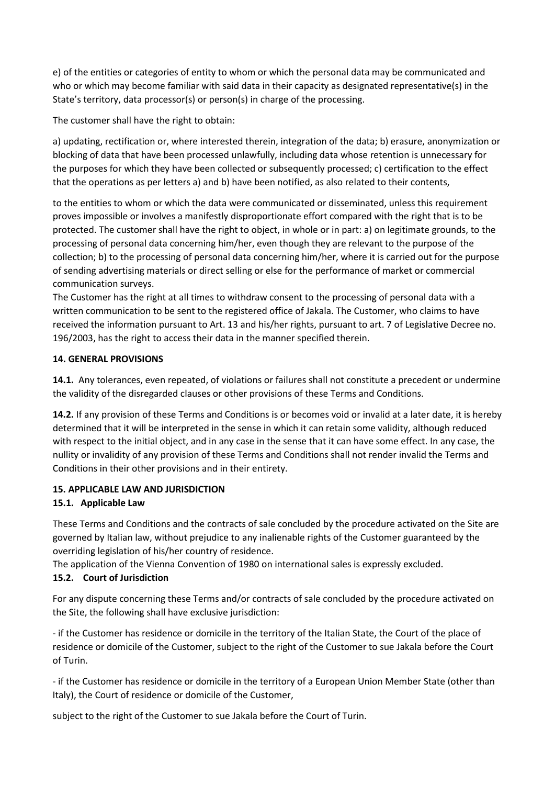e) of the entities or categories of entity to whom or which the personal data may be communicated and who or which may become familiar with said data in their capacity as designated representative(s) in the State's territory, data processor(s) or person(s) in charge of the processing.

The customer shall have the right to obtain:

a) updating, rectification or, where interested therein, integration of the data; b) erasure, anonymization or blocking of data that have been processed unlawfully, including data whose retention is unnecessary for the purposes for which they have been collected or subsequently processed; c) certification to the effect that the operations as per letters a) and b) have been notified, as also related to their contents,

to the entities to whom or which the data were communicated or disseminated, unless this requirement proves impossible or involves a manifestly disproportionate effort compared with the right that is to be protected. The customer shall have the right to object, in whole or in part: a) on legitimate grounds, to the processing of personal data concerning him/her, even though they are relevant to the purpose of the collection; b) to the processing of personal data concerning him/her, where it is carried out for the purpose of sending advertising materials or direct selling or else for the performance of market or commercial communication surveys.

The Customer has the right at all times to withdraw consent to the processing of personal data with a written communication to be sent to the registered office of Jakala. The Customer, who claims to have received the information pursuant to Art. 13 and his/her rights, pursuant to art. 7 of Legislative Decree no. 196/2003, has the right to access their data in the manner specified therein.

# **14. GENERAL PROVISIONS**

**14.1.** Any tolerances, even repeated, of violations or failures shall not constitute a precedent or undermine the validity of the disregarded clauses or other provisions of these Terms and Conditions.

**14.2.** If any provision of these Terms and Conditions is or becomes void or invalid at a later date, it is hereby determined that it will be interpreted in the sense in which it can retain some validity, although reduced with respect to the initial object, and in any case in the sense that it can have some effect. In any case, the nullity or invalidity of any provision of these Terms and Conditions shall not render invalid the Terms and Conditions in their other provisions and in their entirety.

# **15. APPLICABLE LAW AND JURISDICTION**

# **15.1. Applicable Law**

These Terms and Conditions and the contracts of sale concluded by the procedure activated on the Site are governed by Italian law, without prejudice to any inalienable rights of the Customer guaranteed by the overriding legislation of his/her country of residence.

The application of the Vienna Convention of 1980 on international sales is expressly excluded.

# **15.2. Court of Jurisdiction**

For any dispute concerning these Terms and/or contracts of sale concluded by the procedure activated on the Site, the following shall have exclusive jurisdiction:

- if the Customer has residence or domicile in the territory of the Italian State, the Court of the place of residence or domicile of the Customer, subject to the right of the Customer to sue Jakala before the Court of Turin.

- if the Customer has residence or domicile in the territory of a European Union Member State (other than Italy), the Court of residence or domicile of the Customer,

subject to the right of the Customer to sue Jakala before the Court of Turin.